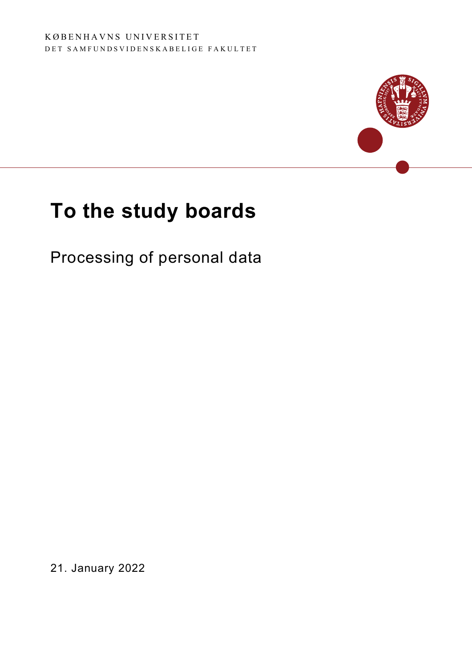

# To the study boards

Processing of personal data

21. January 2022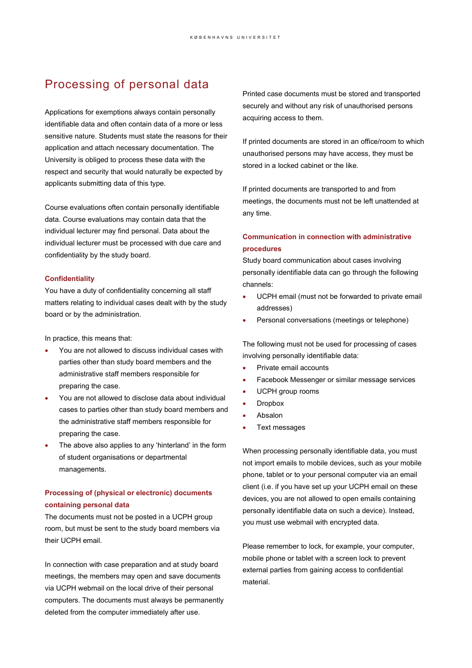## Processing of personal data

Applications for exemptions always contain personally identifiable data and often contain data of a more or less sensitive nature. Students must state the reasons for their application and attach necessary documentation. The University is obliged to process these data with the respect and security that would naturally be expected by applicants submitting data of this type.

Course evaluations often contain personally identifiable data. Course evaluations may contain data that the individual lecturer may find personal. Data about the individual lecturer must be processed with due care and confidentiality by the study board.

#### **Confidentiality**

You have a duty of confidentiality concerning all staff matters relating to individual cases dealt with by the study board or by the administration.

In practice, this means that:

- You are not allowed to discuss individual cases with parties other than study board members and the administrative staff members responsible for preparing the case.
- You are not allowed to disclose data about individual cases to parties other than study board members and the administrative staff members responsible for preparing the case.
- The above also applies to any 'hinterland' in the form of student organisations or departmental managements.

### Processing of (physical or electronic) documents containing personal data

The documents must not be posted in a UCPH group room, but must be sent to the study board members via their UCPH email.

In connection with case preparation and at study board meetings, the members may open and save documents via UCPH webmail on the local drive of their personal computers. The documents must always be permanently deleted from the computer immediately after use.

Printed case documents must be stored and transported securely and without any risk of unauthorised persons acquiring access to them.

If printed documents are stored in an office/room to which unauthorised persons may have access, they must be stored in a locked cabinet or the like.

If printed documents are transported to and from meetings, the documents must not be left unattended at any time.

#### Communication in connection with administrative procedures

Study board communication about cases involving personally identifiable data can go through the following channels:

- UCPH email (must not be forwarded to private email addresses)
- Personal conversations (meetings or telephone)

The following must not be used for processing of cases involving personally identifiable data:

- Private email accounts
- Facebook Messenger or similar message services
- UCPH group rooms
- Dropbox
- Absalon
- Text messages

When processing personally identifiable data, you must not import emails to mobile devices, such as your mobile phone, tablet or to your personal computer via an email client (i.e. if you have set up your UCPH email on these devices, you are not allowed to open emails containing personally identifiable data on such a device). Instead, you must use webmail with encrypted data.

Please remember to lock, for example, your computer, mobile phone or tablet with a screen lock to prevent external parties from gaining access to confidential material.